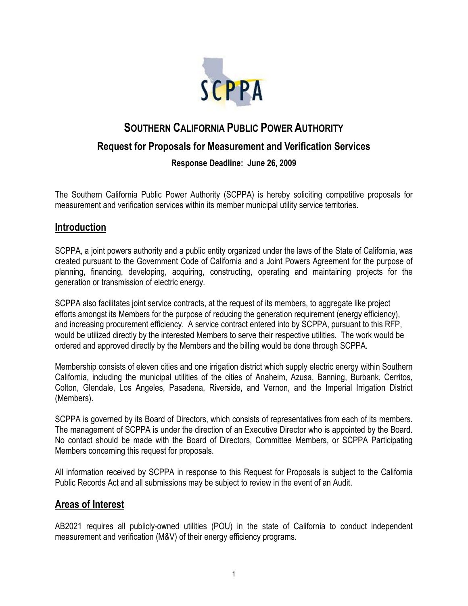

# **SOUTHERN CALIFORNIA PUBLIC POWER AUTHORITY Request for Proposals for Measurement and Verification Services Response Deadline: June 26, 2009**

The Southern California Public Power Authority (SCPPA) is hereby soliciting competitive proposals for measurement and verification services within its member municipal utility service territories.

### **Introduction**

SCPPA, a joint powers authority and a public entity organized under the laws of the State of California, was created pursuant to the Government Code of California and a Joint Powers Agreement for the purpose of planning, financing, developing, acquiring, constructing, operating and maintaining projects for the generation or transmission of electric energy.

SCPPA also facilitates joint service contracts, at the request of its members, to aggregate like project efforts amongst its Members for the purpose of reducing the generation requirement (energy efficiency), and increasing procurement efficiency. A service contract entered into by SCPPA, pursuant to this RFP, would be utilized directly by the interested Members to serve their respective utilities. The work would be ordered and approved directly by the Members and the billing would be done through SCPPA.

Membership consists of eleven cities and one irrigation district which supply electric energy within Southern California, including the municipal utilities of the cities of Anaheim, Azusa, Banning, Burbank, Cerritos, Colton, Glendale, Los Angeles, Pasadena, Riverside, and Vernon, and the Imperial Irrigation District (Members).

SCPPA is governed by its Board of Directors, which consists of representatives from each of its members. The management of SCPPA is under the direction of an Executive Director who is appointed by the Board. No contact should be made with the Board of Directors, Committee Members, or SCPPA Participating Members concerning this request for proposals.

All information received by SCPPA in response to this Request for Proposals is subject to the California Public Records Act and all submissions may be subject to review in the event of an Audit.

#### **Areas of Interest**

AB2021 requires all publicly-owned utilities (POU) in the state of California to conduct independent measurement and verification (M&V) of their energy efficiency programs.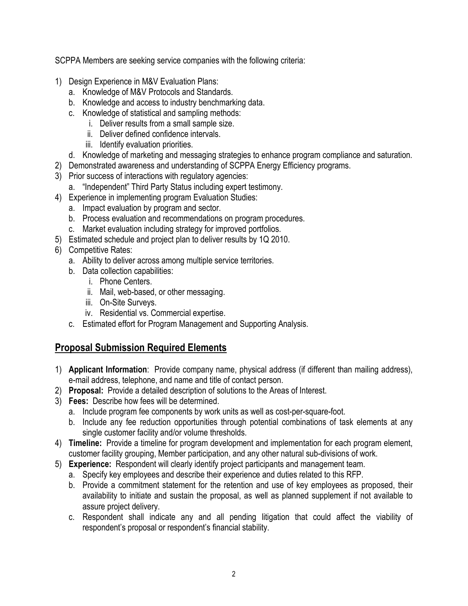SCPPA Members are seeking service companies with the following criteria:

- 1) Design Experience in M&V Evaluation Plans:
	- a. Knowledge of M&V Protocols and Standards.
	- b. Knowledge and access to industry benchmarking data.
	- c. Knowledge of statistical and sampling methods:
		- i. Deliver results from a small sample size.
		- ii. Deliver defined confidence intervals.
		- iii. Identify evaluation priorities.
	- d. Knowledge of marketing and messaging strategies to enhance program compliance and saturation.
- 2) Demonstrated awareness and understanding of SCPPA Energy Efficiency programs.
- 3) Prior success of interactions with regulatory agencies:
- a. "Independent" Third Party Status including expert testimony.
- 4) Experience in implementing program Evaluation Studies:
	- a. Impact evaluation by program and sector.
	- b. Process evaluation and recommendations on program procedures.
	- c. Market evaluation including strategy for improved portfolios.
- 5) Estimated schedule and project plan to deliver results by 1Q 2010.
- 6) Competitive Rates:
	- a. Ability to deliver across among multiple service territories.
	- b. Data collection capabilities:
		- i. Phone Centers.
		- ii. Mail, web-based, or other messaging.
		- iii. On-Site Surveys.
		- iv. Residential vs. Commercial expertise.
	- c. Estimated effort for Program Management and Supporting Analysis.

# **Proposal Submission Required Elements**

- 1) **Applicant Information**: Provide company name, physical address (if different than mailing address), e-mail address, telephone, and name and title of contact person.
- 2) **Proposal:** Provide a detailed description of solutions to the Areas of Interest.
- 3) **Fees:** Describe how fees will be determined.
	- a. Include program fee components by work units as well as cost-per-square-foot.
	- b. Include any fee reduction opportunities through potential combinations of task elements at any single customer facility and/or volume thresholds.
- 4) **Timeline:** Provide a timeline for program development and implementation for each program element, customer facility grouping, Member participation, and any other natural sub-divisions of work.
- 5) **Experience:** Respondent will clearly identify project participants and management team.
	- a. Specify key employees and describe their experience and duties related to this RFP.
	- b. Provide a commitment statement for the retention and use of key employees as proposed, their availability to initiate and sustain the proposal, as well as planned supplement if not available to assure project delivery.
	- c. Respondent shall indicate any and all pending litigation that could affect the viability of respondent's proposal or respondent's financial stability.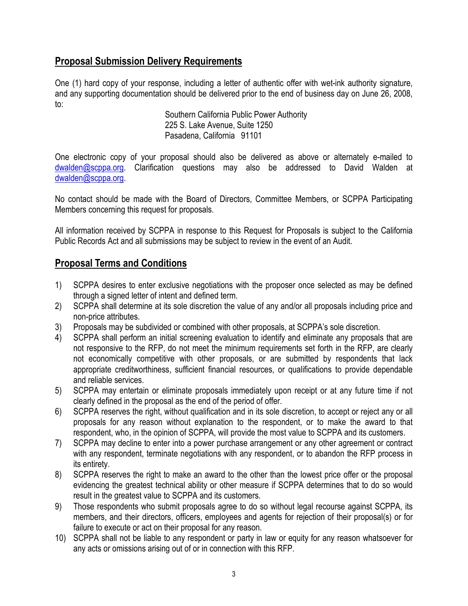## **Proposal Submission Delivery Requirements**

One (1) hard copy of your response, including a letter of authentic offer with wet-ink authority signature, and any supporting documentation should be delivered prior to the end of business day on June 26, 2008, to:

Southern California Public Power Authority 225 S. Lake Avenue, Suite 1250 Pasadena, California 91101

One electronic copy of your proposal should also be delivered as above or alternately e-mailed to dwalden@scppa.org. Clarification questions may also be addressed to David Walden at dwalden@scppa.org.

No contact should be made with the Board of Directors, Committee Members, or SCPPA Participating Members concerning this request for proposals.

All information received by SCPPA in response to this Request for Proposals is subject to the California Public Records Act and all submissions may be subject to review in the event of an Audit.

## **Proposal Terms and Conditions**

- 1) SCPPA desires to enter exclusive negotiations with the proposer once selected as may be defined through a signed letter of intent and defined term.
- 2) SCPPA shall determine at its sole discretion the value of any and/or all proposals including price and non-price attributes.
- 3) Proposals may be subdivided or combined with other proposals, at SCPPA's sole discretion.
- 4) SCPPA shall perform an initial screening evaluation to identify and eliminate any proposals that are not responsive to the RFP, do not meet the minimum requirements set forth in the RFP, are clearly not economically competitive with other proposals, or are submitted by respondents that lack appropriate creditworthiness, sufficient financial resources, or qualifications to provide dependable and reliable services.
- 5) SCPPA may entertain or eliminate proposals immediately upon receipt or at any future time if not clearly defined in the proposal as the end of the period of offer.
- 6) SCPPA reserves the right, without qualification and in its sole discretion, to accept or reject any or all proposals for any reason without explanation to the respondent, or to make the award to that respondent, who, in the opinion of SCPPA, will provide the most value to SCPPA and its customers.
- 7) SCPPA may decline to enter into a power purchase arrangement or any other agreement or contract with any respondent, terminate negotiations with any respondent, or to abandon the RFP process in its entirety.
- 8) SCPPA reserves the right to make an award to the other than the lowest price offer or the proposal evidencing the greatest technical ability or other measure if SCPPA determines that to do so would result in the greatest value to SCPPA and its customers.
- 9) Those respondents who submit proposals agree to do so without legal recourse against SCPPA, its members, and their directors, officers, employees and agents for rejection of their proposal(s) or for failure to execute or act on their proposal for any reason.
- 10) SCPPA shall not be liable to any respondent or party in law or equity for any reason whatsoever for any acts or omissions arising out of or in connection with this RFP.